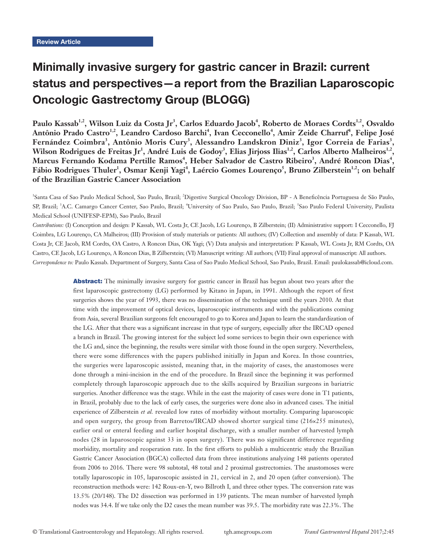# Minimally invasive surgery for gastric cancer in Brazil: current status and perspectives—a report from the Brazilian Laparoscopic Oncologic Gastrectomy Group (BLOGG)

Paulo Kassab<sup>1,2</sup>, Wilson Luiz da Costa Jr<sup>3</sup>, Carlos Eduardo Jacob<sup>4</sup>, Roberto de Moraes Cordts<sup>1,2</sup>, Osvaldo Antônio Prado Castro<sup>1,2</sup>, Leandro Cardoso Barchi<sup>4</sup>, Ivan Cecconello<sup>4</sup>, Amir Zeide Charruf<sup>4</sup>, Felipe José **Fernández Coimbra<sup>3</sup> , Antônio Moris Cury<sup>3</sup> , Alessandro Landskron Diniz<sup>3</sup> , Igor Correia de Farias<sup>3</sup> , Wilson Rodrigues de Freitas Jr<sup>1</sup> , André Luis de Godoy<sup>3</sup> , Elias Jirjoss Ilias1,2, Carlos Alberto Malheiros1,2,**  Marcus Fernando Kodama Pertille Ramos<sup>4</sup>, Heber Salvador de Castro Ribeiro<sup>3</sup>, André Roncon Dias<sup>4</sup>, Fábio Rodrigues Thuler<sup>1</sup>, Osmar Kenji Yagi<sup>4</sup>, Laércio Gomes Lourenço<sup>5</sup>, Bruno Zilberstein<sup>1,2</sup>; on behalf **of the Brazilian Gastric Cancer Association**

<sup>1</sup>Santa Casa of Sao Paulo Medical School, Sao Paulo, Brazil; <sup>2</sup>Digestive Surgical Oncology Division, BP - A Beneficência Portuguesa de São Paulo, SP, Brazil; <sup>3</sup>A.C. Camargo Cancer Center, Sao Paulo, Brazil; <sup>4</sup>University of Sao Paulo, Sao Paulo, Brazil; <sup>5</sup>Sao Paulo Federal University, Paulista Medical School (UNIFESP-EPM), Sao Paulo, Brazil

*Contributions:* (I) Conception and design: P Kassab, WL Costa Jr, CE Jacob, LG Lourenço, B Zilberstein; (II) Administrative support: I Cecconello, FJ Coimbra, LG Lourenço, CA Malheiros; (III) Provision of study materials or patients: All authors; (IV) Collection and assembly of data: P Kassab, WL Costa Jr, CE Jacob, RM Cordts, OA Castro, A Roncon Dias, OK Yagi; (V) Data analysis and interpretation: P Kassab, WL Costa Jr, RM Cordts, OA Castro, CE Jacob, LG Lourenço, A Roncon Dias, B Zilberstein; (VI) Manuscript writing: All authors; (VII) Final approval of manuscript: All authors. *Correspondence to:* Paulo Kassab. Department of Surgery, Santa Casa of Sao Paulo Medical School, Sao Paulo, Brazil. Email: paulokassab@icloud.com.

> Abstract: The minimally invasive surgery for gastric cancer in Brazil has begun about two years after the first laparoscopic gastrectomy (LG) performed by Kitano in Japan, in 1991. Although the report of first surgeries shows the year of 1993, there was no dissemination of the technique until the years 2010. At that time with the improvement of optical devices, laparoscopic instruments and with the publications coming from Asia, several Brazilian surgeons felt encouraged to go to Korea and Japan to learn the standardization of the LG. After that there was a significant increase in that type of surgery, especially after the IRCAD opened a branch in Brazil. The growing interest for the subject led some services to begin their own experience with the LG and, since the beginning, the results were similar with those found in the open surgery. Nevertheless, there were some differences with the papers published initially in Japan and Korea. In those countries, the surgeries were laparoscopic assisted, meaning that, in the majority of cases, the anastomoses were done through a mini-incision in the end of the procedure. In Brazil since the beginning it was performed completely through laparoscopic approach due to the skills acquired by Brazilian surgeons in bariatric surgeries. Another difference was the stage. While in the east the majority of cases were done in T1 patients, in Brazil, probably due to the lack of early cases, the surgeries were done also in advanced cases. The initial experience of Zilberstein *et al.* revealed low rates of morbidity without mortality. Comparing laparoscopic and open surgery, the group from Barretos/IRCAD showed shorter surgical time (216×255 minutes), earlier oral or enteral feeding and earlier hospital discharge, with a smaller number of harvested lymph nodes (28 in laparoscopic against 33 in open surgery). There was no significant difference regarding morbidity, mortality and reoperation rate. In the first efforts to publish a multicentric study the Brazilian Gastric Cancer Association (BGCA) collected data from three institutions analyzing 148 patients operated from 2006 to 2016. There were 98 subtotal, 48 total and 2 proximal gastrectomies. The anastomoses were totally laparoscopic in 105, laparoscopic assisted in 21, cervical in 2, and 20 open (after conversion). The reconstruction methods were: 142 Roux-en-Y, two Billroth I, and three other types. The conversion rate was 13.5% (20/148). The D2 dissection was performed in 139 patients. The mean number of harvested lymph nodes was 34.4. If we take only the D2 cases the mean number was 39.5. The morbidity rate was 22.3%. The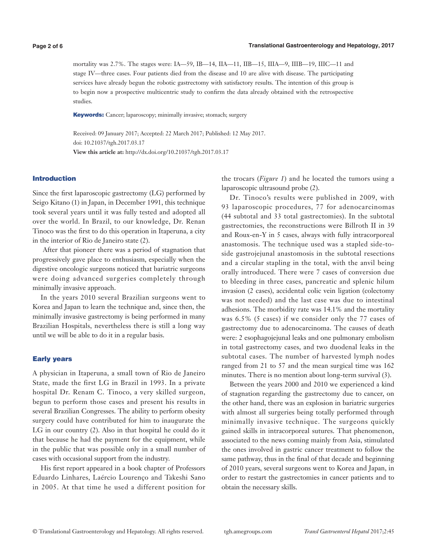mortality was 2.7%. The stages were: IA—59, IB—14, IIA—11, IIB—15, IIIA—9, IIIB—19, IIIC—11 and stage IV—three cases. Four patients died from the disease and 10 are alive with disease. The participating services have already begun the robotic gastrectomy with satisfactory results. The intention of this group is to begin now a prospective multicentric study to confirm the data already obtained with the retrospective studies.

Keywords: Cancer; laparoscopy; minimally invasive; stomach; surgery

Received: 09 January 2017; Accepted: 22 March 2017; Published: 12 May 2017. doi: 10.21037/tgh.2017.03.17 **View this article at:** http://dx.doi.org/10.21037/tgh.2017.03.17

# Introduction

Since the first laparoscopic gastrectomy (LG) performed by Seigo Kitano (1) in Japan, in December 1991, this technique took several years until it was fully tested and adopted all over the world. In Brazil, to our knowledge, Dr. Renan Tinoco was the first to do this operation in Itaperuna, a city in the interior of Rio de Janeiro state (2).

 After that pioneer there was a period of stagnation that progressively gave place to enthusiasm, especially when the digestive oncologic surgeons noticed that bariatric surgeons were doing advanced surgeries completely through minimally invasive approach.

In the years 2010 several Brazilian surgeons went to Korea and Japan to learn the technique and, since then, the minimally invasive gastrectomy is being performed in many Brazilian Hospitals, nevertheless there is still a long way until we will be able to do it in a regular basis.

# Early years

A physician in Itaperuna, a small town of Rio de Janeiro State, made the first LG in Brazil in 1993. In a private hospital Dr. Renam C. Tinoco, a very skilled surgeon, begun to perform those cases and present his results in several Brazilian Congresses. The ability to perform obesity surgery could have contributed for him to inaugurate the LG in our country (2). Also in that hospital he could do it that because he had the payment for the equipment, while in the public that was possible only in a small number of cases with occasional support from the industry.

His first report appeared in a book chapter of Professors Eduardo Linhares, Laércio Lourenço and Takeshi Sano in 2005. At that time he used a different position for

the trocars (*Figure 1*) and he located the tumors using a laparoscopic ultrasound probe (2).

Dr. Tinoco's results were published in 2009, with 93 laparoscopic procedures, 77 for adenocarcinomas (44 subtotal and 33 total gastrectomies). In the subtotal gastrectomies, the reconstructions were Billroth II in 39 and Roux-en-Y in 5 cases, always with fully intracorporeal anastomosis. The technique used was a stapled side-toside gastrojejunal anastomosis in the subtotal resections and a circular stapling in the total, with the anvil being orally introduced. There were 7 cases of conversion due to bleeding in three cases, pancreatic and splenic hilum invasion (2 cases), accidental colic vein ligation (colectomy was not needed) and the last case was due to intestinal adhesions. The morbidity rate was 14.1% and the mortality was 6.5% (5 cases) if we consider only the 77 cases of gastrectomy due to adenocarcinoma. The causes of death were: 2 esophagojejunal leaks and one pulmonary embolism in total gastrectomy cases, and two duodenal leaks in the subtotal cases. The number of harvested lymph nodes ranged from 21 to 57 and the mean surgical time was 162 minutes. There is no mention about long-term survival (3).

Between the years 2000 and 2010 we experienced a kind of stagnation regarding the gastrectomy due to cancer, on the other hand, there was an explosion in bariatric surgeries with almost all surgeries being totally performed through minimally invasive technique. The surgeons quickly gained skills in intracorporeal sutures. That phenomenon, associated to the news coming mainly from Asia, stimulated the ones involved in gastric cancer treatment to follow the same pathway, thus in the final of that decade and beginning of 2010 years, several surgeons went to Korea and Japan, in order to restart the gastrectomies in cancer patients and to obtain the necessary skills.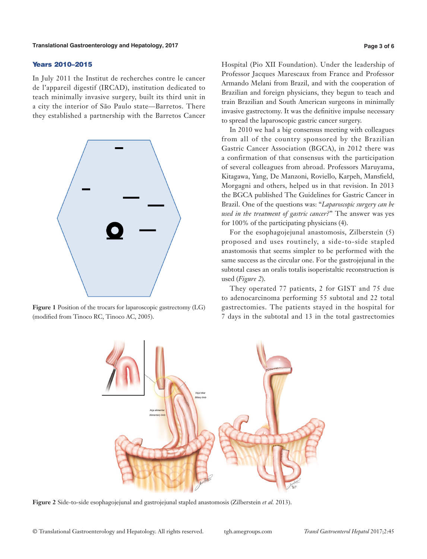## Years 2010–2015

In July 2011 the Institut de recherches contre le cancer de l'appareil digestif (IRCAD), institution dedicated to teach minimally invasive surgery, built its third unit in a city the interior of São Paulo state—Barretos. There they established a partnership with the Barretos Cancer



**Figure 1** Position of the trocars for laparoscopic gastrectomy (LG) (modified from Tinoco RC, Tinoco AC, 2005).

Hospital (Pio XII Foundation). Under the leadership of Professor Jacques Marescaux from France and Professor Armando Melani from Brazil, and with the cooperation of Brazilian and foreign physicians, they begun to teach and train Brazilian and South American surgeons in minimally invasive gastrectomy. It was the definitive impulse necessary to spread the laparoscopic gastric cancer surgery.

In 2010 we had a big consensus meeting with colleagues from all of the country sponsored by the Brazilian Gastric Cancer Association (BGCA), in 2012 there was a confirmation of that consensus with the participation of several colleagues from abroad. Professors Maruyama, Kitagawa, Yang, De Manzoni, Roviello, Karpeh, Mansfield, Morgagni and others, helped us in that revision. In 2013 the BGCA published The Guidelines for Gastric Cancer in Brazil. One of the questions was: "*Laparoscopic surgery can be used in the treatment of gastric cancer?*" The answer was yes for 100% of the participating physicians (4).

For the esophagojejunal anastomosis, Zilberstein (5) proposed and uses routinely, a side-to-side stapled anastomosis that seems simpler to be performed with the same success as the circular one. For the gastrojejunal in the subtotal cases an oralis totalis isoperistaltic reconstruction is used (*Figure 2*).

They operated 77 patients, 2 for GIST and 75 due to adenocarcinoma performing 55 subtotal and 22 total gastrectomies. The patients stayed in the hospital for 7 days in the subtotal and 13 in the total gastrectomies



**Figure 2** Side-to-side esophagojejunal and gastrojejunal stapled anastomosis (Zilberstein *et al.* 2013).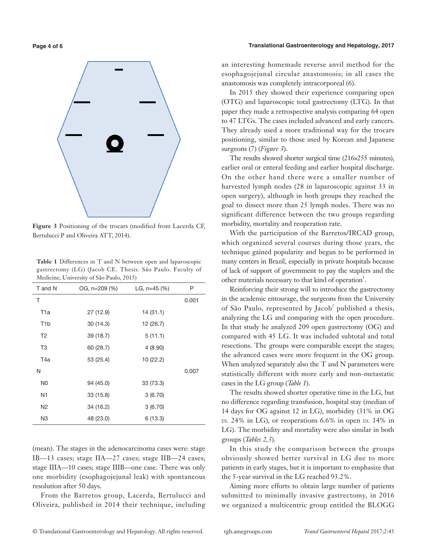**Figure 3** Positioning of the trocars (modified from Lacerda CF, Bertulucci P and Oliveira ATT, 2014).

**Table 1** Differences in T and N between open and laparoscopic gastrectomy (LG) (Jacob CE. Thesis. São Paulo. Faculty of Medicine, University of São Paulo, 2015)

| T and N          | OG, n=209 (%) | LG, $n=45$ (%) | P     |
|------------------|---------------|----------------|-------|
| Τ                |               |                | 0.001 |
| T1a              | 27 (12.9)     | 14(31.1)       |       |
| T <sub>1</sub> b | 30 (14.3)     | 12 (26.7)      |       |
| T <sub>2</sub>   | 39 (18.7)     | 5(11.1)        |       |
| T3               | 60 (28.7)     | 4(8.90)        |       |
| T4a              | 53 (25.4)     | 10 (22.2)      |       |
| N                |               |                | 0.007 |
| N <sub>0</sub>   | 94 (45.0)     | 33 (73.3)      |       |
| N1               | 33 (15.8)     | 3(6.70)        |       |
| N <sub>2</sub>   | 34 (16.2)     | 3(6.70)        |       |
| N <sub>3</sub>   | 48 (23.0)     | 6(13.3)        |       |

(mean). The stages in the adenocarcinoma cases were: stage IB—13 cases; stage IIA—27 cases; stage IIB—24 cases; stage IIIA—10 cases; stage IIIB—one case. There was only one morbidity (esophagojejunal leak) with spontaneous resolution after 50 days.

From the Barretos group, Lacerda, Bertulucci and Oliveira, published in 2014 their technique, including

### **Page 4 of 6 Translational Gastroenterology and Hepatology, 2017**

an interesting homemade reverse anvil method for the esophagojejunal circular anastomosis; in all cases the anastomosis was completely intracorporeal (6).

In 2015 they showed their experience comparing open (OTG) and laparoscopic total gastrectomy (LTG). In that paper they made a retrospective analysis comparing 64 open to 47 LTGs. The cases included advanced and early cancers. They already used a more traditional way for the trocars positioning, similar to those used by Korean and Japanese surgeons (7) (*Figure 3*).

The results showed shorter surgical time (216×255 minutes), earlier oral or enteral feeding and earlier hospital discharge. On the other hand there were a smaller number of harvested lymph nodes (28 in laparoscopic against 33 in open surgery), although in both groups they reached the goal to dissect more than 25 lymph nodes. There was no significant difference between the two groups regarding morbidity, mortality and reoperation rate.

With the participation of the Barretos/IRCAD group, which organized several courses during those years, the technique gained popularity and began to be performed in many centers in Brazil, especially in private hospitals because of lack of support of government to pay the staplers and the other materials necessary to that kind of operation<sup>1</sup>.

Reinforcing their strong will to introduce the gastrectomy in the academic entourage, the surgeons from the University of São Paulo, represented by Jacob<sup>2</sup> published a thesis, analyzing the LG and comparing with the open procedure. In that study he analyzed 209 open gastrectomy (OG) and compared with 45 LG. It was included subtotal and total resections. The groups were comparable except the stages; the advanced cases were more frequent in the OG group. When analyzed separately also the T and N parameters were statistically different with more early and non-metastatic cases in the LG group (*Table 1*).

The results showed shorter operative time in the LG, but no difference regarding transfusion, hospital stay (median of 14 days for OG against 12 in LG), morbidity (31% in OG *vs.* 24% in LG), or reoperations 6.6% in open *vs.* 14% in LG). The morbidity and mortality were also similar in both groups (*Tables 2,3*).

In this study the comparison between the groups obviously showed better survival in LG due to more patients in early stages, but it is important to emphasize that the 5-year survival in the LG reached 93.2%.

Aiming more efforts to obtain large number of patients submitted to minimally invasive gastrectomy, in 2016 we organized a multicentric group entitled the BLOGG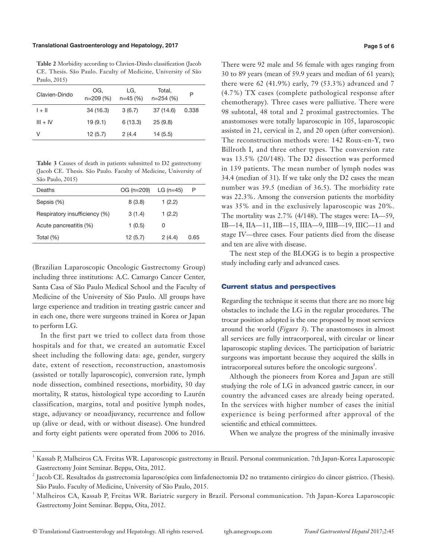### **Translational Gastroenterology and Hepatology, 2017 Page 5 of 6**

**Table 2** Morbidity according to Clavien-Dindo classification (Jacob CE. Thesis. São Paulo. Faculty of Medicine, University of São Paulo, 2015)

| Clavien-Dindo | OG.<br>$n=209(%)$ | LG.<br>$n=45(%)$ | Total.<br>$n=254(%)$ | Ρ     |
|---------------|-------------------|------------------|----------------------|-------|
| $1 + 11$      | 34 (16.3)         | 3(6.7)           | 37 (14.6)            | 0.338 |
| $III + IV$    | 19(9.1)           | 6(13.3)          | 25(9.8)              |       |
| V             | 12(5.7)           | 2(4.4)           | 14(5.5)              |       |

**Table 3** Causes of death in patients submitted to D2 gastrectomy (Jacob CE. Thesis. São Paulo. Faculty of Medicine, University of São Paulo, 2015)

| Deaths                        | OG (n=209) | $LG (n=45)$ | Р    |
|-------------------------------|------------|-------------|------|
| Sepsis (%)                    | 8(3.8)     | 1(2.2)      |      |
| Respiratory insufficiency (%) | 3(1.4)     | 1(2.2)      |      |
| Acute pancreatitis (%)        | 1(0.5)     |             |      |
| Total (%)                     | 12(5.7)    | 2(4.4)      | 0.65 |

(Brazilian Laparoscopic Oncologic Gastrectomy Group) including three institutions: A.C. Camargo Cancer Center, Santa Casa of São Paulo Medical School and the Faculty of Medicine of the University of São Paulo. All groups have large experience and tradition in treating gastric cancer and in each one, there were surgeons trained in Korea or Japan to perform LG.

In the first part we tried to collect data from those hospitals and for that, we created an automatic Excel sheet including the following data: age, gender, surgery date, extent of resection, reconstruction, anastomosis (assisted or totally laparoscopic), conversion rate, lymph node dissection, combined resections, morbidity, 30 day mortality, R status, histological type according to Laurén classification, margins, total and positive lymph nodes, stage, adjuvancy or neoadjuvancy, recurrence and follow up (alive or dead, with or without disease). One hundred and forty eight patients were operated from 2006 to 2016.

There were 92 male and 56 female with ages ranging from 30 to 89 years (mean of 59.9 years and median of 61 years); there were 62 (41.9%) early, 79 (53.3%) advanced and 7 (4.7%) TX cases (complete pathological response after chemotherapy). Three cases were palliative. There were 98 subtotal, 48 total and 2 proximal gastrectomies. The anastomoses were totally laparoscopic in 105, laparoscopic assisted in 21, cervical in 2, and 20 open (after conversion). The reconstruction methods were: 142 Roux-en-Y, two Billroth I, and three other types. The conversion rate was 13.5% (20/148). The D2 dissection was performed in 139 patients. The mean number of lymph nodes was 34.4 (median of 31). If we take only the D2 cases the mean number was 39.5 (median of 36.5). The morbidity rate was 22.3%. Among the conversion patients the morbidity was 35% and in the exclusively laparoscopic was 20%. The mortality was 2.7% (4/148). The stages were: IA—59, IB—14, IIA—11, IIB—15, IIIA—9, IIIB—19, IIIC—11 and stage IV—three cases. Four patients died from the disease and ten are alive with disease.

The next step of the BLOGG is to begin a prospective study including early and advanced cases.

# Current status and perspectives

Regarding the technique it seems that there are no more big obstacles to include the LG in the regular procedures. The trocar position adopted is the one proposed by most services around the world (*Figure 3*). The anastomoses in almost all services are fully intracorporeal, with circular or linear laparoscopic stapling devices. The participation of bariatric surgeons was important because they acquired the skills in intracorporeal sutures before the oncologic surgeons<sup>3</sup>.

Although the pioneers from Korea and Japan are still studying the role of LG in advanced gastric cancer, in our country the advanced cases are already being operated. In the services with higher number of cases the initial experience is being performed after approval of the scientific and ethical committees.

When we analyze the progress of the minimally invasive

<sup>1</sup> Kassab P, Malheiros CA. Freitas WR. Laparoscopic gastrectomy in Brazil. Personal communication. 7th Japan-Korea Laparoscopic Gastrectomy Joint Seminar. Beppu, Oita, 2012.

 $^2$  Jacob CE. Resultados da gastrectomia laparoscópica com linfadenectomia D2 no tratamento cirúrgico do câncer gástrico. (Thesis). São Paulo. Faculty of Medicine, University of São Paulo, 2015.

<sup>3</sup> Malheiros CA, Kassab P, Freitas WR. Bariatric surgery in Brazil. Personal communication. 7th Japan-Korea Laparoscopic Gastrectomy Joint Seminar. Beppu, Oita, 2012.